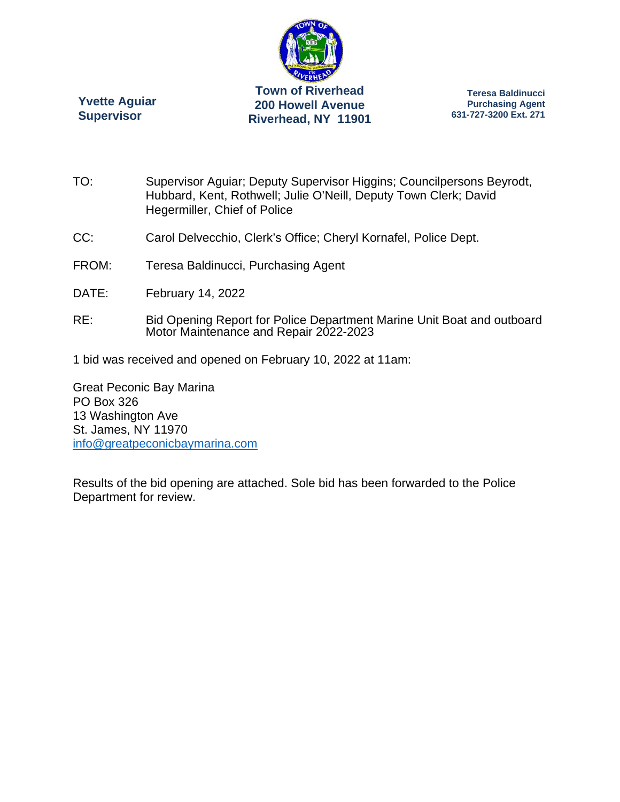

**Yvette Aguiar Supervisor** 

**Teresa Baldinucci Purchasing Agent 631-727-3200 Ext. 271** 

- TO: Supervisor Aguiar; Deputy Supervisor Higgins; Councilpersons Beyrodt, Hubbard, Kent, Rothwell; Julie O'Neill, Deputy Town Clerk; David Hegermiller, Chief of Police
- CC: Carol Delvecchio, Clerk's Office; Cheryl Kornafel, Police Dept.
- FROM: Teresa Baldinucci, Purchasing Agent
- DATE: February 14, 2022
- RE: Bid Opening Report for Police Department Marine Unit Boat and outboard Motor Maintenance and Repair 2022-2023
- 1 bid was received and opened on February 10, 2022 at 11am:

Great Peconic Bay Marina PO Box 326 13 Washington Ave St. James, NY 11970 info@greatpeconicbaymarina.com

Results of the bid opening are attached. Sole bid has been forwarded to the Police Department for review.